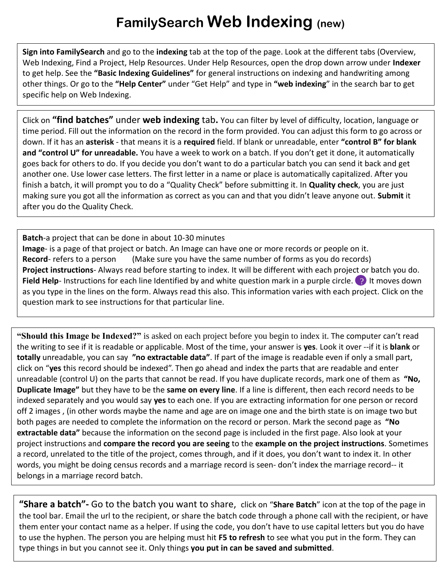## **FamilySearch Web Indexing (new)**

**Sign into FamilySearch** and go to the **indexing** tab at the top of the page. Look at the different tabs (Overview, Web Indexing, Find a Project, Help Resources. Under Help Resources, open the drop down arrow under **Indexer** to get help. See the **"Basic Indexing Guidelines"** for general instructions on indexing and handwriting among other things. Or go to the **"Help Center"** under "Get Help" and type in **"web indexing**" in the search bar to get specific help on Web Indexing.

Click on **"find batches"** under **web indexing** tab**.** You can filter by level of difficulty, location, language or time period. Fill out the information on the record in the form provided. You can adjust this form to go across or down. If it has an **asterisk** - that means it is a **required** field. If blank or unreadable, enter **"control B" for blank and "control U" for unreadable.** You have a week to work on a batch. If you don't get it done, it automatically goes back for others to do. If you decide you don't want to do a particular batch you can send it back and get another one. Use lower case letters. The first letter in a name or place is automatically capitalized. After you finish a batch, it will prompt you to do a "Quality Check" before submitting it. In **Quality check**, you are just making sure you got all the information as correct as you can and that you didn't leave anyone out. **Submit** it after you do the Quality Check.

**Batch**-a project that can be done in about 10-30 minutes **Image**- is a page of that project or batch. An Image can have one or more records or people on it. Record- refers to a person (Make sure you have the same number of forms as you do records) **Project instructions**- Always read before starting to index. It will be different with each project or batch you do. **Field Help**- Instructions for each line Identified by and white question mark in a purple circle. <sup>1</sup> It moves down as you type in the lines on the form. Always read this also. This information varies with each project. Click on the question mark to see instructions for that particular line.

**"Should this Image be Indexed?"** is asked on each project before you begin to index it. The computer can't read the writing to see if it is readable or applicable. Most of the time, your answer is **yes**. Look it over --if it is **blank** or **totally** unreadable, you can say **"no extractable data"**. If part of the image is readable even if only a small part, click on "**yes** this record should be indexed". Then go ahead and index the parts that are readable and enter unreadable (control U) on the parts that cannot be read. If you have duplicate records, mark one of them as **"No, Duplicate Image"** but they have to be the **same on every line**. If a line is different, then each record needs to be indexed separately and you would say **yes** to each one. If you are extracting information for one person or record off 2 images , (in other words maybe the name and age are on image one and the birth state is on image two but both pages are needed to complete the information on the record or person. Mark the second page as **"No extractable data"** because the information on the second page is included in the first page. Also look at your project instructions and **compare the record you are seeing** to the **example on the project instructions**. Sometimes a record, unrelated to the title of the project, comes through, and if it does, you don't want to index it. In other words, you might be doing census records and a marriage record is seen- don't index the marriage record-- it belongs in a marriage record batch.

**"Share a batch"-** Go to the batch you want to share, click on "**Share Batch**" icon at the top of the page in the tool bar. Email the url to the recipient, or share the batch code through a phone call with the recipient, or have them enter your contact name as a helper. If using the code, you don't have to use capital letters but you do have to use the hyphen. The person you are helping must hit **F5 to refresh** to see what you put in the form. They can type things in but you cannot see it. Only things **you put in can be saved and submitted**.